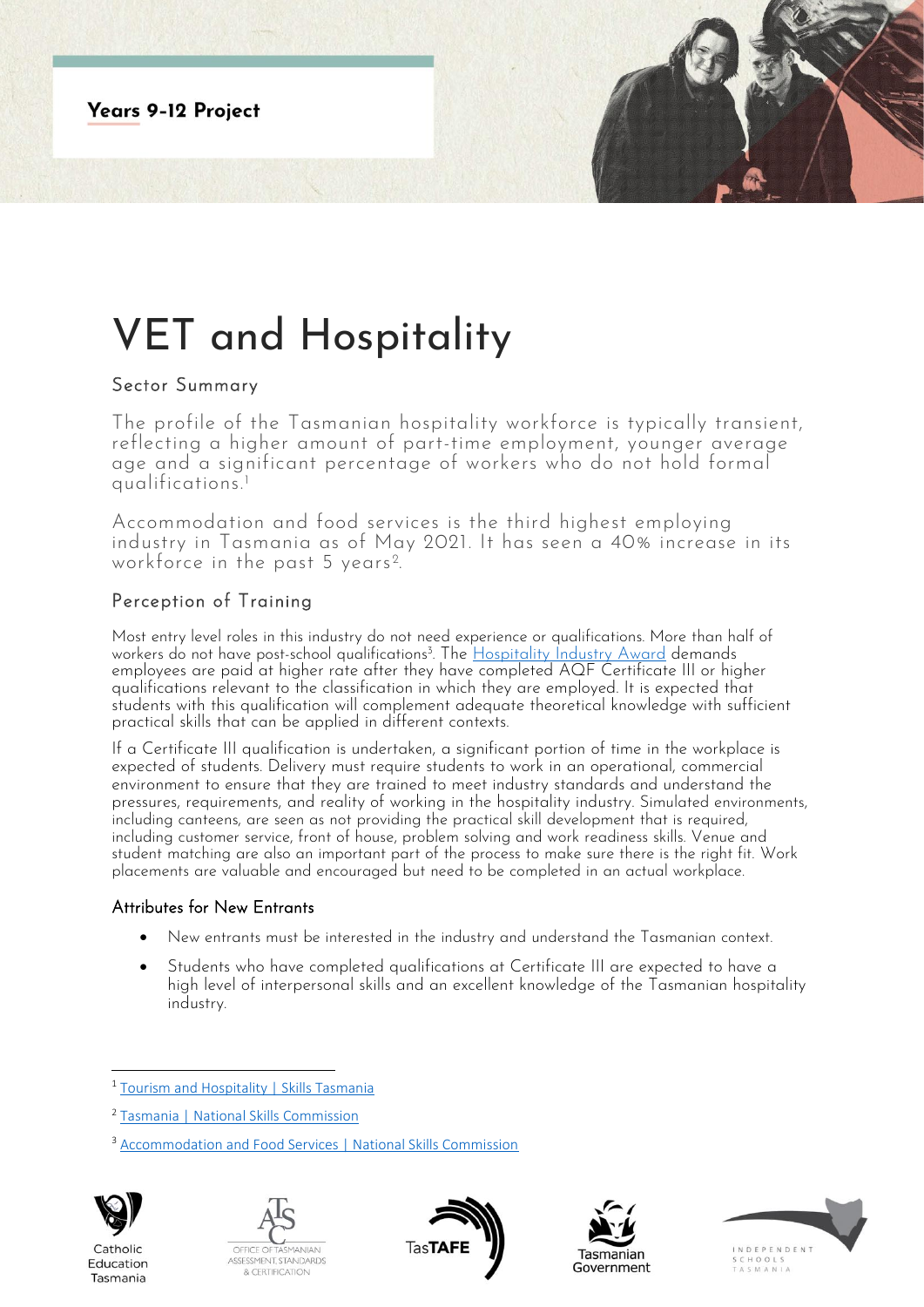**Years 9-12 Project** 

# VET and Hospitality

## Sector Summary

The profile of the Tasmanian hospitality workforce is typically transient, reflecting a higher amount of part-time employment, younger average age and a significant percentage of workers who do not hold formal qualifications.<sup>1</sup>

Accommodation and food services is the third highest employing industry in Tasmania as of May 2021. It has seen a 40% increase in its workforce in the past 5 years<sup>2</sup>.

## Perception of Training

Most entry level roles in this industry do not need experience or qualifications. More than half of workers do not have post-school qualifications<sup>3</sup>. The <u>Hospitality Industry Award</u> demands . employees are paid at higher rate after they have completed AQF Certificate III or higher qualifications relevant to the classification in which they are employed. It is expected that students with this qualification will complement adequate theoretical knowledge with sufficient practical skills that can be applied in different contexts.

If a Certificate III qualification is undertaken, a significant portion of time in the workplace is expected of students. Delivery must require students to work in an operational, commercial environment to ensure that they are trained to meet industry standards and understand the pressures, requirements, and reality of working in the hospitality industry. Simulated environments, including canteens, are seen as not providing the practical skill development that is required, including customer service, front of house, problem solving and work readiness skills. Venue and student matching are also an important part of the process to make sure there is the right fit. Work placements are valuable and encouraged but need to be completed in an actual workplace.

### Attributes for New Entrants

- New entrants must be interested in the industry and understand the Tasmanian context.
- Students who have completed qualifications at Certificate III are expected to have a high level of interpersonal skills and an excellent knowledge of the Tasmanian hospitality industry.

<sup>&</sup>lt;sup>3</sup> [Accommodation and Food Services | National Skills Commission](https://www.nationalskillscommission.gov.au/accommodation-and-food-services-0)



Catholic

Education

Tasmania









<sup>&</sup>lt;sup>1</sup> [Tourism and Hospitality | Skills Tasmania](https://www.skills.tas.gov.au/about/the_tasmanian_workforce/industry_information_and_profiles/tourism_and_hospitality_fact_sheet)

<sup>2</sup> [Tasmania | National Skills Commission](https://www.nationalskillscommission.gov.au/tasmania-0)